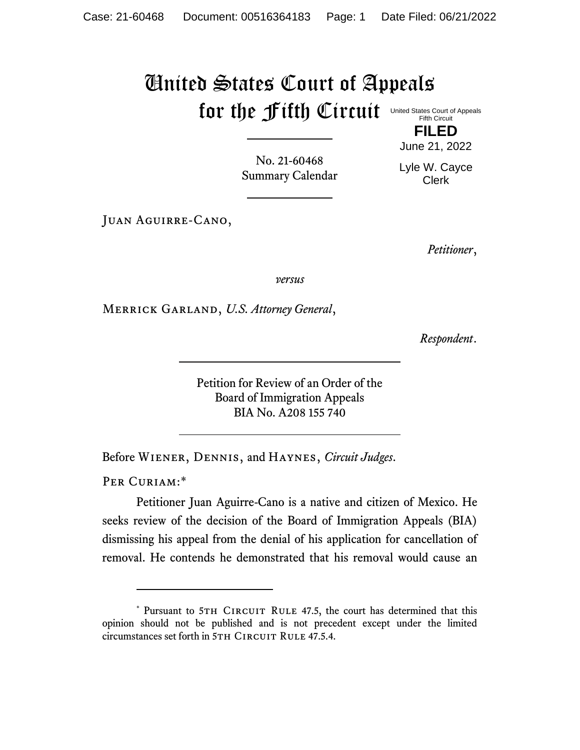## United States Court of Appeals for the fifth Circuit United States Court of Appeals

Fifth Circuit **FILED**

No. 21-60468 Summary Calendar Lyle W. Cayce Clerk

June 21, 2022

Juan Aguirre-Cano,

*Petitioner*,

*versus*

Merrick Garland, *U.S. Attorney General*,

*Respondent*.

Petition for Review of an Order of the Board of Immigration Appeals BIA No. A208 155 740

Before Wiener, Dennis, and Haynes, *Circuit Judges*.

PER CURIAM:\*

Petitioner Juan Aguirre-Cano is a native and citizen of Mexico. He seeks review of the decision of the Board of Immigration Appeals (BIA) dismissing his appeal from the denial of his application for cancellation of removal. He contends he demonstrated that his removal would cause an

<sup>\*</sup> Pursuant to 5TH CIRCUIT RULE 47.5, the court has determined that this opinion should not be published and is not precedent except under the limited circumstances set forth in 5TH CIRCUIT RULE 47.5.4.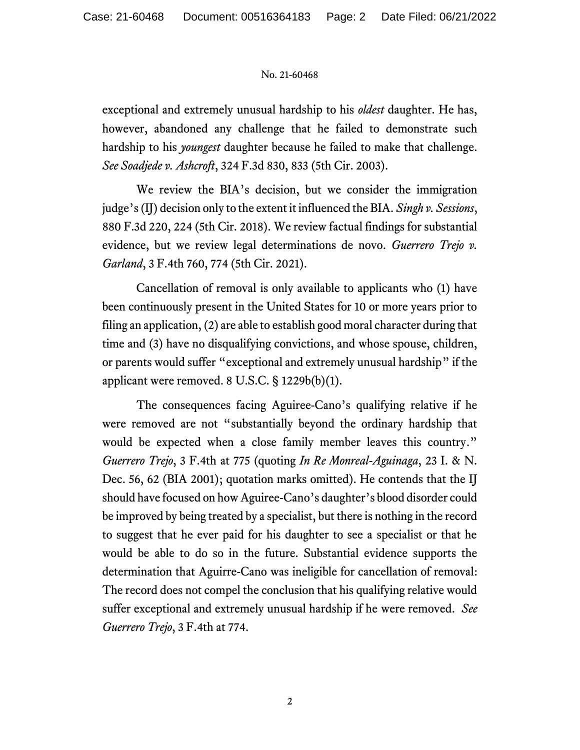## No. 21-60468

exceptional and extremely unusual hardship to his *oldest* daughter. He has, however, abandoned any challenge that he failed to demonstrate such hardship to his *youngest* daughter because he failed to make that challenge. *See Soadjede v. Ashcroft*, 324 F.3d 830, 833 (5th Cir. 2003).

We review the BIA's decision, but we consider the immigration judge's (IJ) decision only to the extent it influenced the BIA. *Singh v. Sessions*, 880 F.3d 220, 224 (5th Cir. 2018). We review factual findings for substantial evidence, but we review legal determinations de novo. *Guerrero Trejo v. Garland*, 3 F.4th 760, 774 (5th Cir. 2021).

Cancellation of removal is only available to applicants who (1) have been continuously present in the United States for 10 or more years prior to filing an application, (2) are able to establish good moral character during that time and (3) have no disqualifying convictions, and whose spouse, children, or parents would suffer "exceptional and extremely unusual hardship" if the applicant were removed. 8 U.S.C. § 1229b(b)(1).

The consequences facing Aguiree-Cano's qualifying relative if he were removed are not "substantially beyond the ordinary hardship that would be expected when a close family member leaves this country." *Guerrero Trejo*, 3 F.4th at 775 (quoting *In Re Monreal-Aguinaga*, 23 I. & N. Dec. 56, 62 (BIA 2001); quotation marks omitted). He contends that the IJ should have focused on how Aguiree-Cano's daughter's blood disorder could be improved by being treated by a specialist, but there is nothing in the record to suggest that he ever paid for his daughter to see a specialist or that he would be able to do so in the future. Substantial evidence supports the determination that Aguirre-Cano was ineligible for cancellation of removal: The record does not compel the conclusion that his qualifying relative would suffer exceptional and extremely unusual hardship if he were removed. *See Guerrero Trejo*, 3 F.4th at 774.